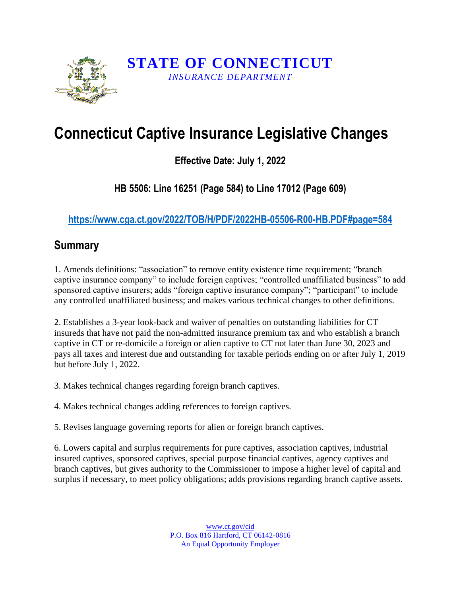

## **Connecticut Captive Insurance Legislative Changes**

## **Effective Date: July 1, 2022**

## **HB 5506: Line 16251 (Page 584) to Line 17012 (Page 609)**

**https://www.cga.ct.gov/2022/TOB/H/PDF/2022HB-05506-R00-HB.PDF#page=584**

## **Summary**

1. Amends definitions: "association" to remove entity existence time requirement; "branch captive insurance company" to include foreign captives; "controlled unaffiliated business" to add sponsored captive insurers; adds "foreign captive insurance company"; "participant" to include any controlled unaffiliated business; and makes various technical changes to other definitions.

2. Establishes a 3-year look-back and waiver of penalties on outstanding liabilities for CT insureds that have not paid the non-admitted insurance premium tax and who establish a branch captive in CT or re-domicile a foreign or alien captive to CT not later than June 30, 2023 and pays all taxes and interest due and outstanding for taxable periods ending on or after July 1, 2019 but before July 1, 2022.

3. Makes technical changes regarding foreign branch captives.

4. Makes technical changes adding references to foreign captives.

5. Revises language governing reports for alien or foreign branch captives.

6. Lowers capital and surplus requirements for pure captives, association captives, industrial insured captives, sponsored captives, special purpose financial captives, agency captives and branch captives, but gives authority to the Commissioner to impose a higher level of capital and surplus if necessary, to meet policy obligations; adds provisions regarding branch captive assets.

> www.ct.gov/cid P.O. Box 816 Hartford, CT 06142-0816 An Equal Opportunity Employer